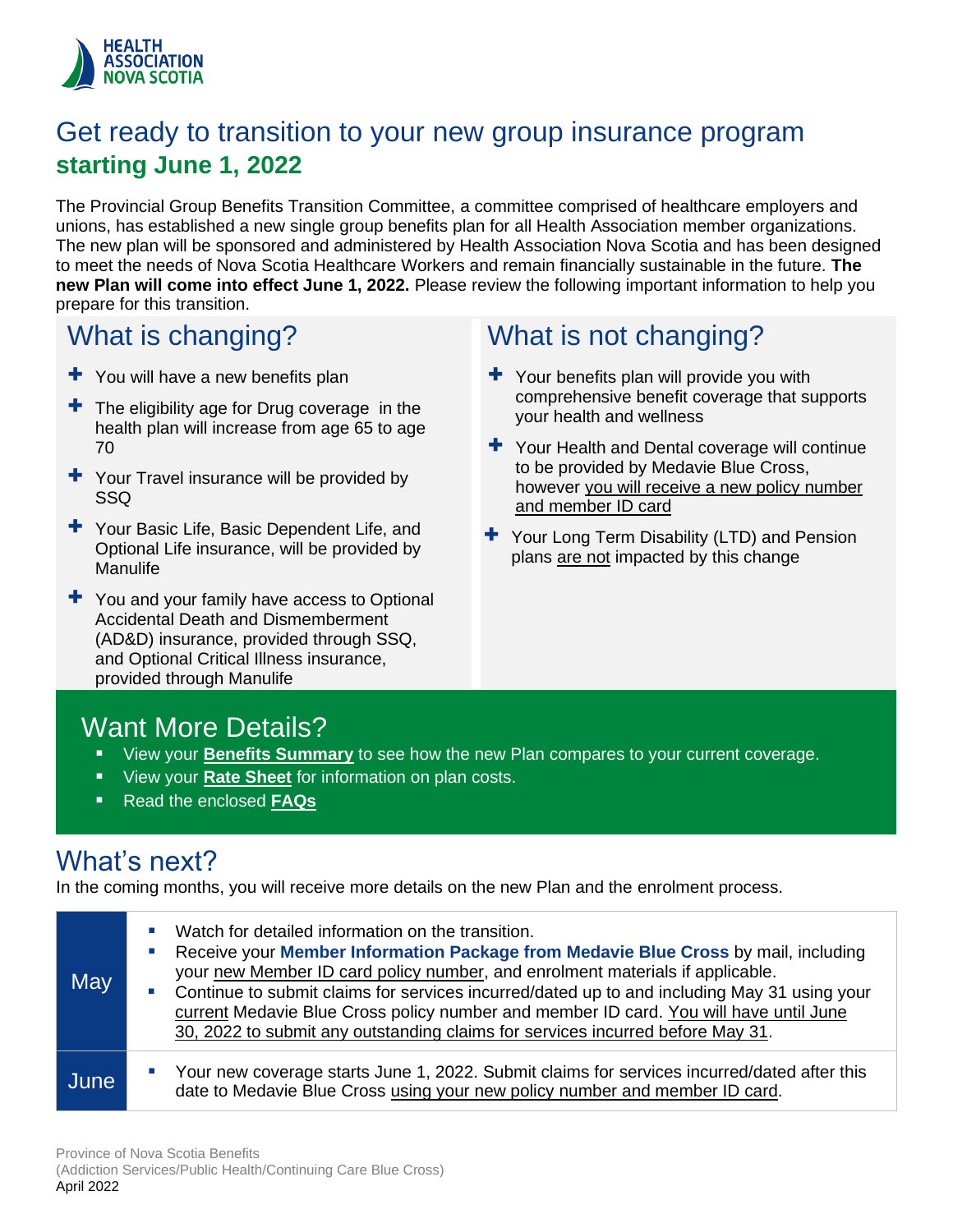

### Get ready to transition to your new group insurance program **starting June 1, 2022**

The Provincial Group Benefits Transition Committee, a committee comprised of healthcare employers and unions, has established a new single group benefits plan for all Health Association member organizations. The new plan will be sponsored and administered by Health Association Nova Scotia and has been designed to meet the needs of Nova Scotia Healthcare Workers and remain financially sustainable in the future. **The new Plan will come into effect June 1, 2022.** Please review the following important information to help you prepare for this transition.

### What is changing?

- $+$  You will have a new benefits plan
- $\pm$  The eligibility age for Drug coverage in the health plan will increase from age 65 to age 70
- $\pm$  Your Travel insurance will be provided by SSQ
- + Your Basic Life, Basic Dependent Life, and Optional Life insurance, will be provided by Manulife
- $+$  You and your family have access to Optional Accidental Death and Dismemberment (AD&D) insurance, provided through SSQ, and Optional Critical Illness insurance, provided through Manulife

### What is not changing?

- $+$  Your benefits plan will provide you with comprehensive benefit coverage that supports your health and wellness
- + Your Health and Dental coverage will continue to be provided by Medavie Blue Cross, however you will receive a new policy number and member ID card
- + Your Long Term Disability (LTD) and Pension plans are not impacted by this change

### Want More Details?

- View your **[Benefits Summ](#page-2-0)ary** to see how the new Plan compares to your current coverage.
- View your **[Rate Sheet](#page-8-0)** for information on plan costs.
- Read the enclosed **[FAQs](#page-1-0)**

### What's next?

In the coming months, you will receive more details on the new Plan and the enrolment process.

| May  | Watch for detailed information on the transition.<br>ш<br>Receive your Member Information Package from Medavie Blue Cross by mail, including<br>$\blacksquare$<br>your new Member ID card policy number, and enrolment materials if applicable.<br>Continue to submit claims for services incurred/dated up to and including May 31 using your<br>current Medavie Blue Cross policy number and member ID card. You will have until June<br>30, 2022 to submit any outstanding claims for services incurred before May 31. |
|------|---------------------------------------------------------------------------------------------------------------------------------------------------------------------------------------------------------------------------------------------------------------------------------------------------------------------------------------------------------------------------------------------------------------------------------------------------------------------------------------------------------------------------|
| June | Your new coverage starts June 1, 2022. Submit claims for services incurred/dated after this<br><b>Contract</b><br>date to Medavie Blue Cross using your new policy number and member ID card.                                                                                                                                                                                                                                                                                                                             |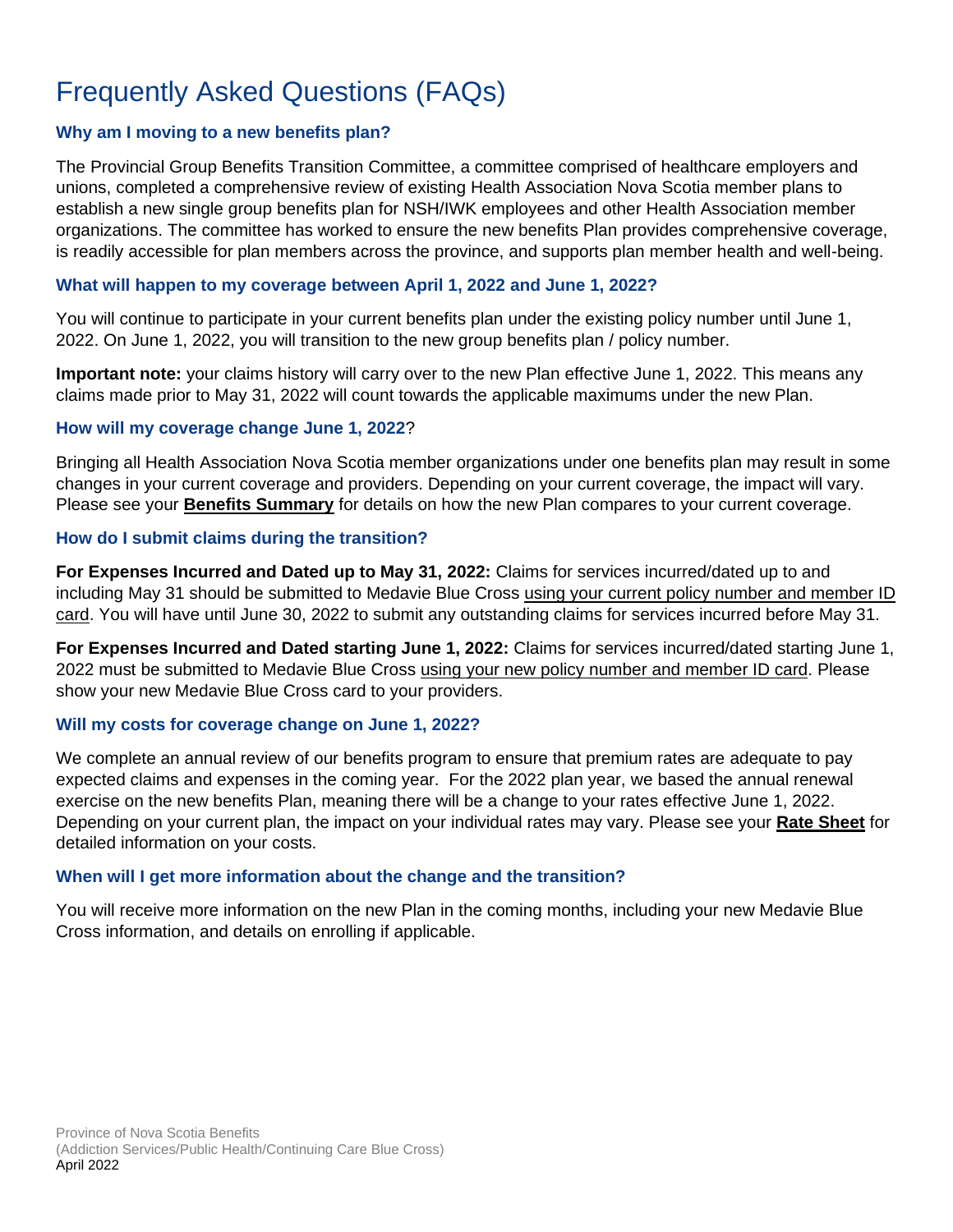### <span id="page-1-0"></span>Frequently Asked Questions (FAQs)

#### **Why am I moving to a new benefits plan?**

The Provincial Group Benefits Transition Committee, a committee comprised of healthcare employers and unions, completed a comprehensive review of existing Health Association Nova Scotia member plans to establish a new single group benefits plan for NSH/IWK employees and other Health Association member organizations. The committee has worked to ensure the new benefits Plan provides comprehensive coverage, is readily accessible for plan members across the province, and supports plan member health and well-being.

#### **What will happen to my coverage between April 1, 2022 and June 1, 2022?**

You will continue to participate in your current benefits plan under the existing policy number until June 1, 2022. On June 1, 2022, you will transition to the new group benefits plan / policy number.

**Important note:** your claims history will carry over to the new Plan effective June 1, 2022. This means any claims made prior to May 31, 2022 will count towards the applicable maximums under the new Plan.

#### **How will my coverage change June 1, 2022**?

Bringing all Health Association Nova Scotia member organizations under one benefits plan may result in some changes in your current coverage and providers. Depending on your current coverage, the impact will vary. Please see your **[Benefits Summ](#page-2-0)ary** for details on how the new Plan compares to your current coverage.

#### **How do I submit claims during the transition?**

**For Expenses Incurred and Dated up to May 31, 2022:** Claims for services incurred/dated up to and including May 31 should be submitted to Medavie Blue Cross using your current policy number and member ID card. You will have until June 30, 2022 to submit any outstanding claims for services incurred before May 31.

**For Expenses Incurred and Dated starting June 1, 2022:** Claims for services incurred/dated starting June 1, 2022 must be submitted to Medavie Blue Cross using your new policy number and member ID card. Please show your new Medavie Blue Cross card to your providers.

#### **Will my costs for coverage change on June 1, 2022?**

We complete an annual review of our benefits program to ensure that premium rates are adequate to pay expected claims and expenses in the coming year. For the 2022 plan year, we based the annual renewal exercise on the new benefits Plan, meaning there will be a change to your rates effective June 1, 2022. Depending on your current plan, the impact on your individual rates may vary. Please see your **[Rate Sheet](#page-8-0)** for detailed information on your costs.

#### **When will I get more information about the change and the transition?**

You will receive more information on the new Plan in the coming months, including your new Medavie Blue Cross information, and details on enrolling if applicable.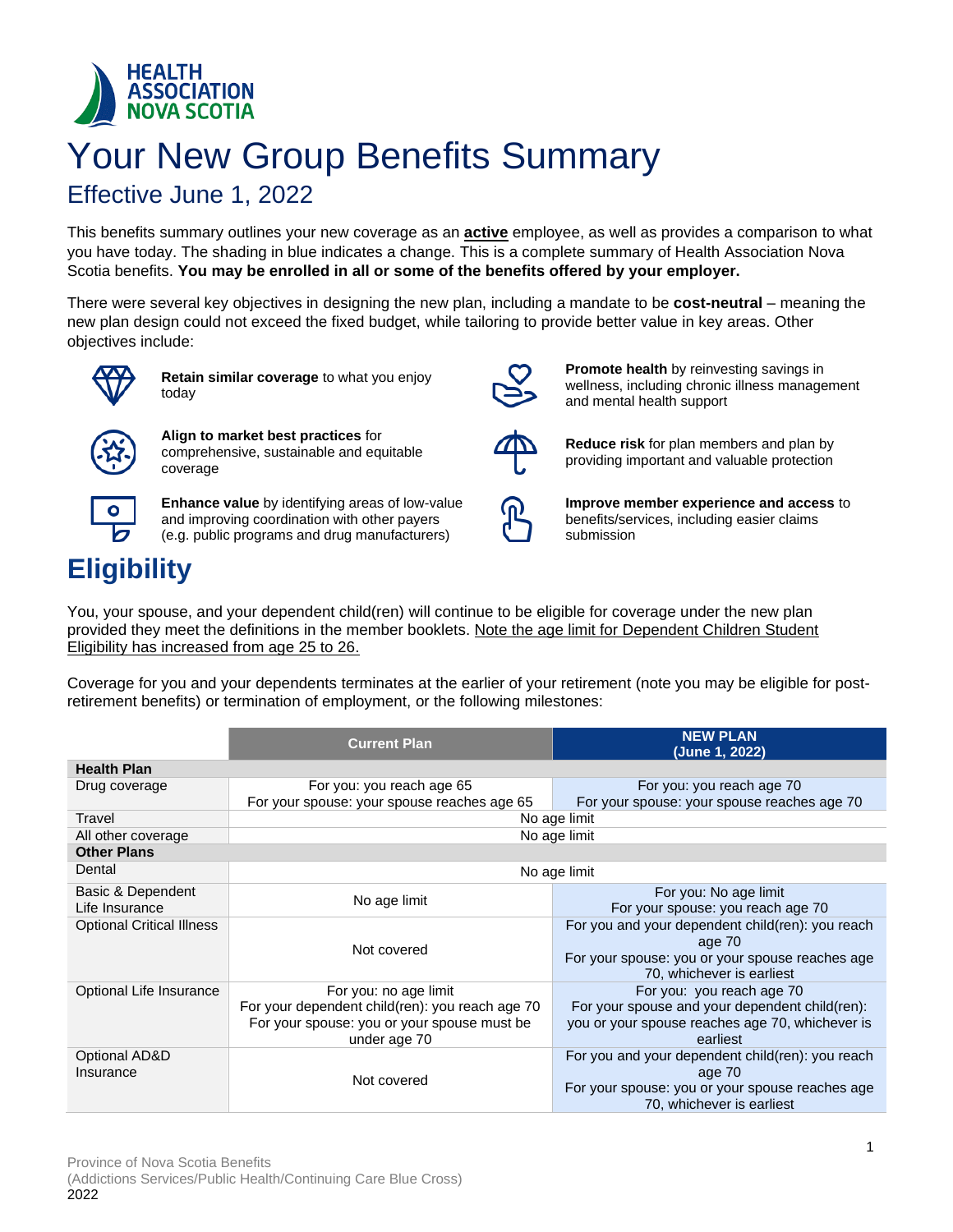<span id="page-2-0"></span>

# Your New Group Benefits Summary

### Effective June 1, 2022

This benefits summary outlines your new coverage as an **active** employee, as well as provides a comparison to what you have today. The shading in blue indicates a change. This is a complete summary of Health Association Nova Scotia benefits. **You may be enrolled in all or some of the benefits offered by your employer.**

There were several key objectives in designing the new plan, including a mandate to be **cost-neutral** – meaning the new plan design could not exceed the fixed budget, while tailoring to provide better value in key areas. Other objectives include:



**Retain similar coverage** to what you enjoy today



**Align to market best practices** for comprehensive, sustainable and equitable coverage



**Enhance value** by identifying areas of low-value and improving coordination with other payers (e.g. public programs and drug manufacturers)



**Promote health** by reinvesting savings in wellness, including chronic illness management and mental health support



**Reduce risk** for plan members and plan by providing important and valuable protection



**Improve member experience and access** to benefits/services, including easier claims submission

### **Eligibility**

You, your spouse, and your dependent child(ren) will continue to be eligible for coverage under the new plan provided they meet the definitions in the member booklets. Note the age limit for Dependent Children Student Eligibility has increased from age 25 to 26.

Coverage for you and your dependents terminates at the earlier of your retirement (note you may be eligible for postretirement benefits) or termination of employment, or the following milestones:

|                                  | <b>Current Plan</b>                             | <b>NEW PLAN</b><br>(June 1, 2022)                                            |  |
|----------------------------------|-------------------------------------------------|------------------------------------------------------------------------------|--|
| <b>Health Plan</b>               |                                                 |                                                                              |  |
| Drug coverage                    | For you: you reach age 65                       | For you: you reach age 70                                                    |  |
|                                  | For your spouse: your spouse reaches age 65     | For your spouse: your spouse reaches age 70                                  |  |
| Travel                           |                                                 | No age limit                                                                 |  |
| All other coverage               |                                                 | No age limit                                                                 |  |
| <b>Other Plans</b>               |                                                 |                                                                              |  |
| Dental                           |                                                 | No age limit                                                                 |  |
| Basic & Dependent                | No age limit                                    | For you: No age limit                                                        |  |
| Life Insurance                   |                                                 | For your spouse: you reach age 70                                            |  |
| <b>Optional Critical Illness</b> |                                                 | For you and your dependent child(ren): you reach                             |  |
|                                  | Not covered                                     | age 70                                                                       |  |
|                                  |                                                 | For your spouse: you or your spouse reaches age<br>70, whichever is earliest |  |
| Optional Life Insurance          | For you: no age limit                           | For you: you reach age 70                                                    |  |
|                                  | For your dependent child(ren): you reach age 70 | For your spouse and your dependent child(ren):                               |  |
|                                  | For your spouse: you or your spouse must be     | you or your spouse reaches age 70, whichever is                              |  |
|                                  | under age 70                                    | earliest                                                                     |  |
| Optional AD&D<br>Insurance       |                                                 | For you and your dependent child(ren): you reach<br>age 70                   |  |
|                                  | Not covered                                     | For your spouse: you or your spouse reaches age<br>70, whichever is earliest |  |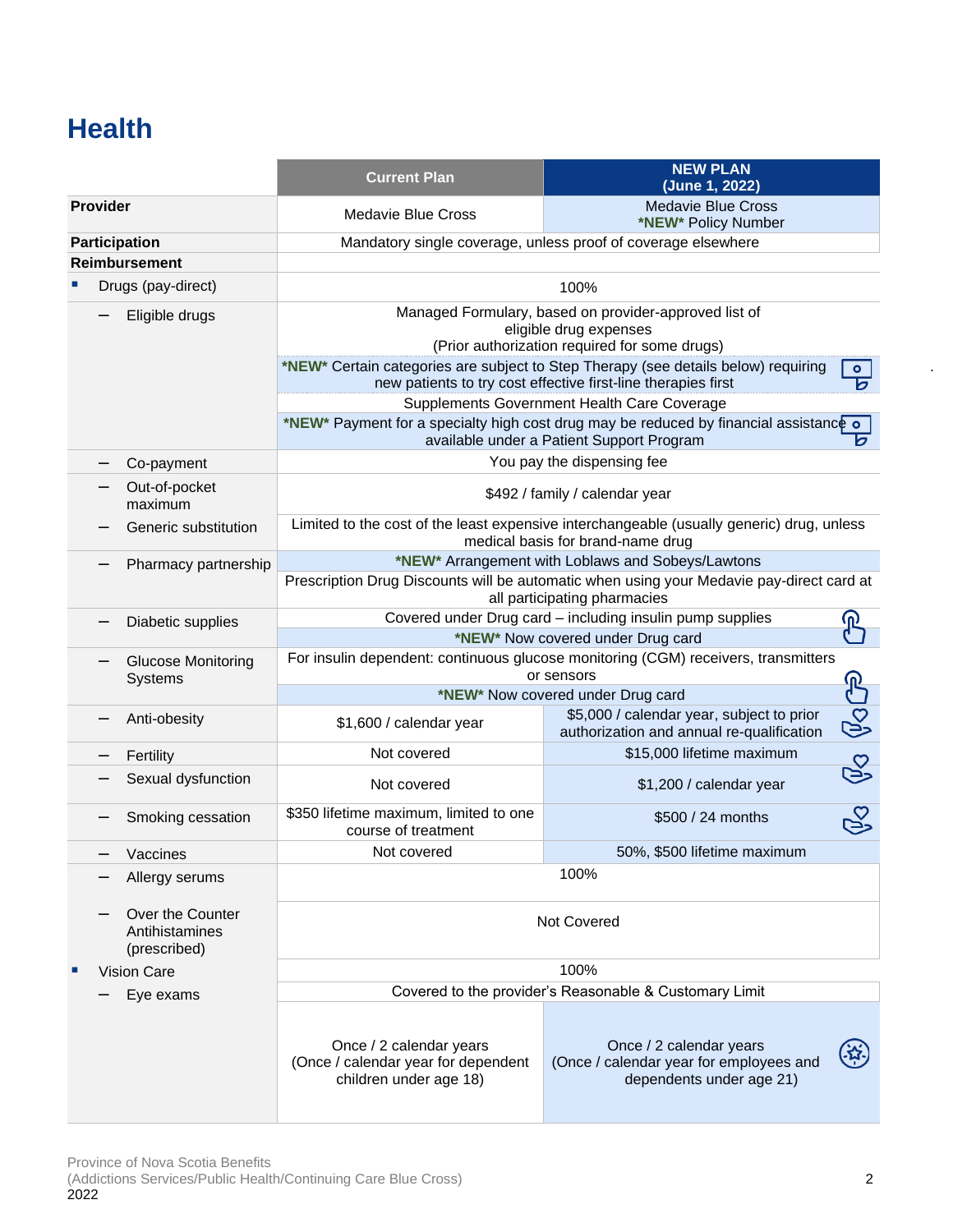# **Health**

|                      |  |                                                    | <b>Current Plan</b>                                                                                                              | <b>NEW PLAN</b><br>(June 1, 2022)                                                                                                                                     |  |
|----------------------|--|----------------------------------------------------|----------------------------------------------------------------------------------------------------------------------------------|-----------------------------------------------------------------------------------------------------------------------------------------------------------------------|--|
| <b>Provider</b>      |  |                                                    | <b>Medavie Blue Cross</b><br>Medavie Blue Cross<br>*NEW* Policy Number                                                           |                                                                                                                                                                       |  |
| <b>Participation</b> |  |                                                    |                                                                                                                                  | Mandatory single coverage, unless proof of coverage elsewhere                                                                                                         |  |
|                      |  | Reimbursement                                      |                                                                                                                                  |                                                                                                                                                                       |  |
|                      |  | Drugs (pay-direct)                                 |                                                                                                                                  | 100%                                                                                                                                                                  |  |
|                      |  | Eligible drugs                                     | Managed Formulary, based on provider-approved list of<br>eligible drug expenses<br>(Prior authorization required for some drugs) |                                                                                                                                                                       |  |
|                      |  |                                                    |                                                                                                                                  | *NEW* Certain categories are subject to Step Therapy (see details below) requiring<br>$\bullet$<br>new patients to try cost effective first-line therapies first<br>চ |  |
|                      |  |                                                    |                                                                                                                                  | Supplements Government Health Care Coverage                                                                                                                           |  |
|                      |  |                                                    |                                                                                                                                  | *NEW* Payment for a specialty high cost drug may be reduced by financial assistance o<br>available under a Patient Support Program<br>b                               |  |
|                      |  | Co-payment                                         |                                                                                                                                  | You pay the dispensing fee                                                                                                                                            |  |
|                      |  | Out-of-pocket<br>maximum                           |                                                                                                                                  | \$492 / family / calendar year                                                                                                                                        |  |
|                      |  | Generic substitution                               |                                                                                                                                  | Limited to the cost of the least expensive interchangeable (usually generic) drug, unless<br>medical basis for brand-name drug                                        |  |
|                      |  | Pharmacy partnership                               |                                                                                                                                  | *NEW* Arrangement with Loblaws and Sobeys/Lawtons                                                                                                                     |  |
|                      |  |                                                    |                                                                                                                                  | Prescription Drug Discounts will be automatic when using your Medavie pay-direct card at<br>all participating pharmacies                                              |  |
|                      |  | Diabetic supplies                                  |                                                                                                                                  | Covered under Drug card - including insulin pump supplies                                                                                                             |  |
|                      |  |                                                    | *NEW* Now covered under Drug card                                                                                                |                                                                                                                                                                       |  |
|                      |  | <b>Glucose Monitoring</b><br>Systems               |                                                                                                                                  | For insulin dependent: continuous glucose monitoring (CGM) receivers, transmitters<br>or sensors                                                                      |  |
|                      |  |                                                    |                                                                                                                                  | *NEW* Now covered under Drug card                                                                                                                                     |  |
|                      |  | Anti-obesity                                       | \$1,600 / calendar year                                                                                                          | \$5,000 / calendar year, subject to prior<br>$\frac{1}{2}$<br>authorization and annual re-qualification                                                               |  |
|                      |  | Fertility                                          | Not covered                                                                                                                      | \$15,000 lifetime maximum                                                                                                                                             |  |
|                      |  | Sexual dysfunction                                 | Not covered                                                                                                                      | $\mathbb{S}$<br>\$1,200 / calendar year                                                                                                                               |  |
|                      |  | Smoking cessation                                  | \$350 lifetime maximum, limited to one<br>course of treatment                                                                    | \$500 / 24 months                                                                                                                                                     |  |
|                      |  | Vaccines                                           | Not covered                                                                                                                      | 50%, \$500 lifetime maximum                                                                                                                                           |  |
|                      |  | Allergy serums                                     |                                                                                                                                  | 100%                                                                                                                                                                  |  |
|                      |  | Over the Counter<br>Antihistamines<br>(prescribed) | Not Covered                                                                                                                      |                                                                                                                                                                       |  |
|                      |  | <b>Vision Care</b>                                 |                                                                                                                                  | 100%                                                                                                                                                                  |  |
|                      |  | Eye exams                                          | Covered to the provider's Reasonable & Customary Limit                                                                           |                                                                                                                                                                       |  |
|                      |  |                                                    | Once / 2 calendar years<br>(Once / calendar year for dependent<br>children under age 18)                                         | Once / 2 calendar years<br>(Once / calendar year for employees and<br>dependents under age 21)                                                                        |  |

.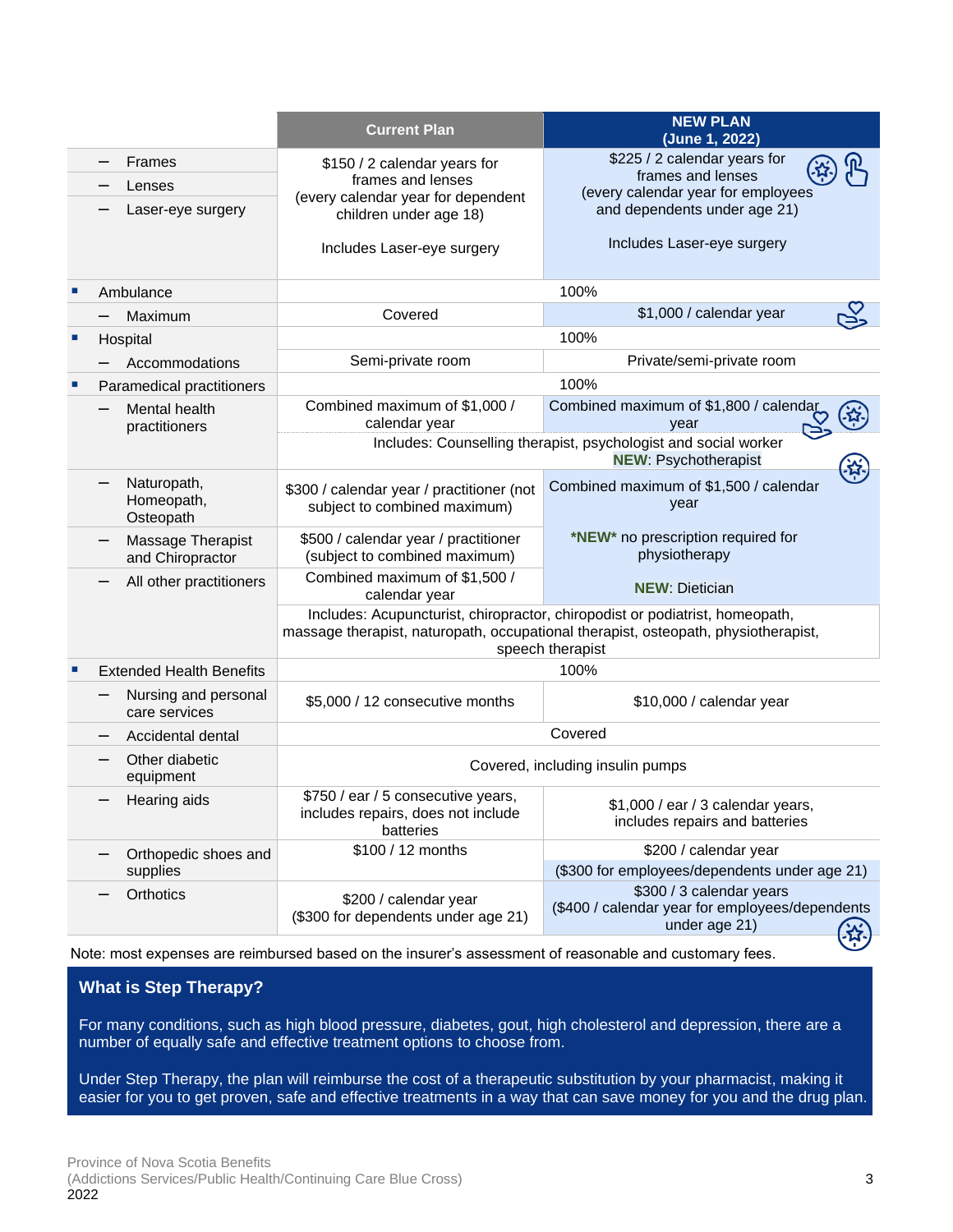| \$225 / 2 calendar years for<br>Frames<br>\$150 / 2 calendar years for<br>frames and lenses<br>frames and lenses<br>Lenses<br>(every calendar year for employees<br>(every calendar year for dependent<br>and dependents under age 21)<br>Laser-eye surgery<br>children under age 18)<br>Includes Laser-eye surgery<br>Includes Laser-eye surgery<br>100%<br>Ambulance<br>\$1,000 / calendar year<br>Covered<br>Maximum<br>100%<br>Hospital<br>Private/semi-private room<br>Semi-private room<br>Accommodations<br>100%<br>Paramedical practitioners<br>Combined maximum of \$1,000 /<br>Combined maximum of \$1,800 / calendar<br>Mental health<br>calendar year<br>year<br>practitioners<br>Includes: Counselling therapist, psychologist and social worker<br><b>NEW: Psychotherapist</b><br>Naturopath,<br>Combined maximum of \$1,500 / calendar<br>\$300 / calendar year / practitioner (not<br>Homeopath,<br>year<br>subject to combined maximum)<br>Osteopath<br>*NEW* no prescription required for<br>\$500 / calendar year / practitioner<br>Massage Therapist<br>physiotherapy<br>(subject to combined maximum)<br>and Chiropractor<br>Combined maximum of \$1,500 /<br>All other practitioners<br><b>NEW: Dietician</b><br>calendar year<br>Includes: Acupuncturist, chiropractor, chiropodist or podiatrist, homeopath,<br>massage therapist, naturopath, occupational therapist, osteopath, physiotherapist,<br>speech therapist<br>100%<br><b>Extended Health Benefits</b><br>Nursing and personal<br>\$5,000 / 12 consecutive months<br>\$10,000 / calendar year<br>care services<br>Covered<br>Accidental dental<br>Other diabetic<br>Covered, including insulin pumps<br>equipment<br>\$750 / ear / 5 consecutive years,<br>Hearing aids<br>\$1,000 / ear / 3 calendar years<br>includes repairs, does not include<br>includes repairs and batteries<br>batteries<br>\$100 / 12 months<br>\$200 / calendar year<br>Orthopedic shoes and<br>(\$300 for employees/dependents under age 21)<br>supplies<br>\$300 / 3 calendar years<br>Orthotics<br>\$200 / calendar year<br>(\$400 / calendar year for employees/dependents<br>(\$300 for dependents under age 21)<br>under age 21) |  | <b>Current Plan</b> | <b>NEW PLAN</b><br>(June 1, 2022) |
|-----------------------------------------------------------------------------------------------------------------------------------------------------------------------------------------------------------------------------------------------------------------------------------------------------------------------------------------------------------------------------------------------------------------------------------------------------------------------------------------------------------------------------------------------------------------------------------------------------------------------------------------------------------------------------------------------------------------------------------------------------------------------------------------------------------------------------------------------------------------------------------------------------------------------------------------------------------------------------------------------------------------------------------------------------------------------------------------------------------------------------------------------------------------------------------------------------------------------------------------------------------------------------------------------------------------------------------------------------------------------------------------------------------------------------------------------------------------------------------------------------------------------------------------------------------------------------------------------------------------------------------------------------------------------------------------------------------------------------------------------------------------------------------------------------------------------------------------------------------------------------------------------------------------------------------------------------------------------------------------------------------------------------------------------------------------------------------------------------------------------------------------------------------------------------------------------------|--|---------------------|-----------------------------------|
|                                                                                                                                                                                                                                                                                                                                                                                                                                                                                                                                                                                                                                                                                                                                                                                                                                                                                                                                                                                                                                                                                                                                                                                                                                                                                                                                                                                                                                                                                                                                                                                                                                                                                                                                                                                                                                                                                                                                                                                                                                                                                                                                                                                                     |  |                     |                                   |
|                                                                                                                                                                                                                                                                                                                                                                                                                                                                                                                                                                                                                                                                                                                                                                                                                                                                                                                                                                                                                                                                                                                                                                                                                                                                                                                                                                                                                                                                                                                                                                                                                                                                                                                                                                                                                                                                                                                                                                                                                                                                                                                                                                                                     |  |                     |                                   |
|                                                                                                                                                                                                                                                                                                                                                                                                                                                                                                                                                                                                                                                                                                                                                                                                                                                                                                                                                                                                                                                                                                                                                                                                                                                                                                                                                                                                                                                                                                                                                                                                                                                                                                                                                                                                                                                                                                                                                                                                                                                                                                                                                                                                     |  |                     |                                   |
|                                                                                                                                                                                                                                                                                                                                                                                                                                                                                                                                                                                                                                                                                                                                                                                                                                                                                                                                                                                                                                                                                                                                                                                                                                                                                                                                                                                                                                                                                                                                                                                                                                                                                                                                                                                                                                                                                                                                                                                                                                                                                                                                                                                                     |  |                     |                                   |
|                                                                                                                                                                                                                                                                                                                                                                                                                                                                                                                                                                                                                                                                                                                                                                                                                                                                                                                                                                                                                                                                                                                                                                                                                                                                                                                                                                                                                                                                                                                                                                                                                                                                                                                                                                                                                                                                                                                                                                                                                                                                                                                                                                                                     |  |                     |                                   |
|                                                                                                                                                                                                                                                                                                                                                                                                                                                                                                                                                                                                                                                                                                                                                                                                                                                                                                                                                                                                                                                                                                                                                                                                                                                                                                                                                                                                                                                                                                                                                                                                                                                                                                                                                                                                                                                                                                                                                                                                                                                                                                                                                                                                     |  |                     |                                   |
|                                                                                                                                                                                                                                                                                                                                                                                                                                                                                                                                                                                                                                                                                                                                                                                                                                                                                                                                                                                                                                                                                                                                                                                                                                                                                                                                                                                                                                                                                                                                                                                                                                                                                                                                                                                                                                                                                                                                                                                                                                                                                                                                                                                                     |  |                     |                                   |
|                                                                                                                                                                                                                                                                                                                                                                                                                                                                                                                                                                                                                                                                                                                                                                                                                                                                                                                                                                                                                                                                                                                                                                                                                                                                                                                                                                                                                                                                                                                                                                                                                                                                                                                                                                                                                                                                                                                                                                                                                                                                                                                                                                                                     |  |                     |                                   |
|                                                                                                                                                                                                                                                                                                                                                                                                                                                                                                                                                                                                                                                                                                                                                                                                                                                                                                                                                                                                                                                                                                                                                                                                                                                                                                                                                                                                                                                                                                                                                                                                                                                                                                                                                                                                                                                                                                                                                                                                                                                                                                                                                                                                     |  |                     |                                   |
|                                                                                                                                                                                                                                                                                                                                                                                                                                                                                                                                                                                                                                                                                                                                                                                                                                                                                                                                                                                                                                                                                                                                                                                                                                                                                                                                                                                                                                                                                                                                                                                                                                                                                                                                                                                                                                                                                                                                                                                                                                                                                                                                                                                                     |  |                     |                                   |
|                                                                                                                                                                                                                                                                                                                                                                                                                                                                                                                                                                                                                                                                                                                                                                                                                                                                                                                                                                                                                                                                                                                                                                                                                                                                                                                                                                                                                                                                                                                                                                                                                                                                                                                                                                                                                                                                                                                                                                                                                                                                                                                                                                                                     |  |                     |                                   |
|                                                                                                                                                                                                                                                                                                                                                                                                                                                                                                                                                                                                                                                                                                                                                                                                                                                                                                                                                                                                                                                                                                                                                                                                                                                                                                                                                                                                                                                                                                                                                                                                                                                                                                                                                                                                                                                                                                                                                                                                                                                                                                                                                                                                     |  |                     |                                   |
|                                                                                                                                                                                                                                                                                                                                                                                                                                                                                                                                                                                                                                                                                                                                                                                                                                                                                                                                                                                                                                                                                                                                                                                                                                                                                                                                                                                                                                                                                                                                                                                                                                                                                                                                                                                                                                                                                                                                                                                                                                                                                                                                                                                                     |  |                     |                                   |
|                                                                                                                                                                                                                                                                                                                                                                                                                                                                                                                                                                                                                                                                                                                                                                                                                                                                                                                                                                                                                                                                                                                                                                                                                                                                                                                                                                                                                                                                                                                                                                                                                                                                                                                                                                                                                                                                                                                                                                                                                                                                                                                                                                                                     |  |                     |                                   |
|                                                                                                                                                                                                                                                                                                                                                                                                                                                                                                                                                                                                                                                                                                                                                                                                                                                                                                                                                                                                                                                                                                                                                                                                                                                                                                                                                                                                                                                                                                                                                                                                                                                                                                                                                                                                                                                                                                                                                                                                                                                                                                                                                                                                     |  |                     |                                   |
|                                                                                                                                                                                                                                                                                                                                                                                                                                                                                                                                                                                                                                                                                                                                                                                                                                                                                                                                                                                                                                                                                                                                                                                                                                                                                                                                                                                                                                                                                                                                                                                                                                                                                                                                                                                                                                                                                                                                                                                                                                                                                                                                                                                                     |  |                     |                                   |
|                                                                                                                                                                                                                                                                                                                                                                                                                                                                                                                                                                                                                                                                                                                                                                                                                                                                                                                                                                                                                                                                                                                                                                                                                                                                                                                                                                                                                                                                                                                                                                                                                                                                                                                                                                                                                                                                                                                                                                                                                                                                                                                                                                                                     |  |                     |                                   |
|                                                                                                                                                                                                                                                                                                                                                                                                                                                                                                                                                                                                                                                                                                                                                                                                                                                                                                                                                                                                                                                                                                                                                                                                                                                                                                                                                                                                                                                                                                                                                                                                                                                                                                                                                                                                                                                                                                                                                                                                                                                                                                                                                                                                     |  |                     |                                   |
|                                                                                                                                                                                                                                                                                                                                                                                                                                                                                                                                                                                                                                                                                                                                                                                                                                                                                                                                                                                                                                                                                                                                                                                                                                                                                                                                                                                                                                                                                                                                                                                                                                                                                                                                                                                                                                                                                                                                                                                                                                                                                                                                                                                                     |  |                     |                                   |
|                                                                                                                                                                                                                                                                                                                                                                                                                                                                                                                                                                                                                                                                                                                                                                                                                                                                                                                                                                                                                                                                                                                                                                                                                                                                                                                                                                                                                                                                                                                                                                                                                                                                                                                                                                                                                                                                                                                                                                                                                                                                                                                                                                                                     |  |                     |                                   |
|                                                                                                                                                                                                                                                                                                                                                                                                                                                                                                                                                                                                                                                                                                                                                                                                                                                                                                                                                                                                                                                                                                                                                                                                                                                                                                                                                                                                                                                                                                                                                                                                                                                                                                                                                                                                                                                                                                                                                                                                                                                                                                                                                                                                     |  |                     |                                   |
|                                                                                                                                                                                                                                                                                                                                                                                                                                                                                                                                                                                                                                                                                                                                                                                                                                                                                                                                                                                                                                                                                                                                                                                                                                                                                                                                                                                                                                                                                                                                                                                                                                                                                                                                                                                                                                                                                                                                                                                                                                                                                                                                                                                                     |  |                     |                                   |
|                                                                                                                                                                                                                                                                                                                                                                                                                                                                                                                                                                                                                                                                                                                                                                                                                                                                                                                                                                                                                                                                                                                                                                                                                                                                                                                                                                                                                                                                                                                                                                                                                                                                                                                                                                                                                                                                                                                                                                                                                                                                                                                                                                                                     |  |                     |                                   |

Note: most expenses are reimbursed based on the insurer's assessment of reasonable and customary fees.

#### **What is Step Therapy?**

For many conditions, such as high blood pressure, diabetes, gout, high cholesterol and depression, there are a number of equally safe and effective treatment options to choose from.

Under Step Therapy, the plan will reimburse the cost of a therapeutic substitution by your pharmacist, making it easier for you to get proven, safe and effective treatments in a way that can save money for you and the drug plan.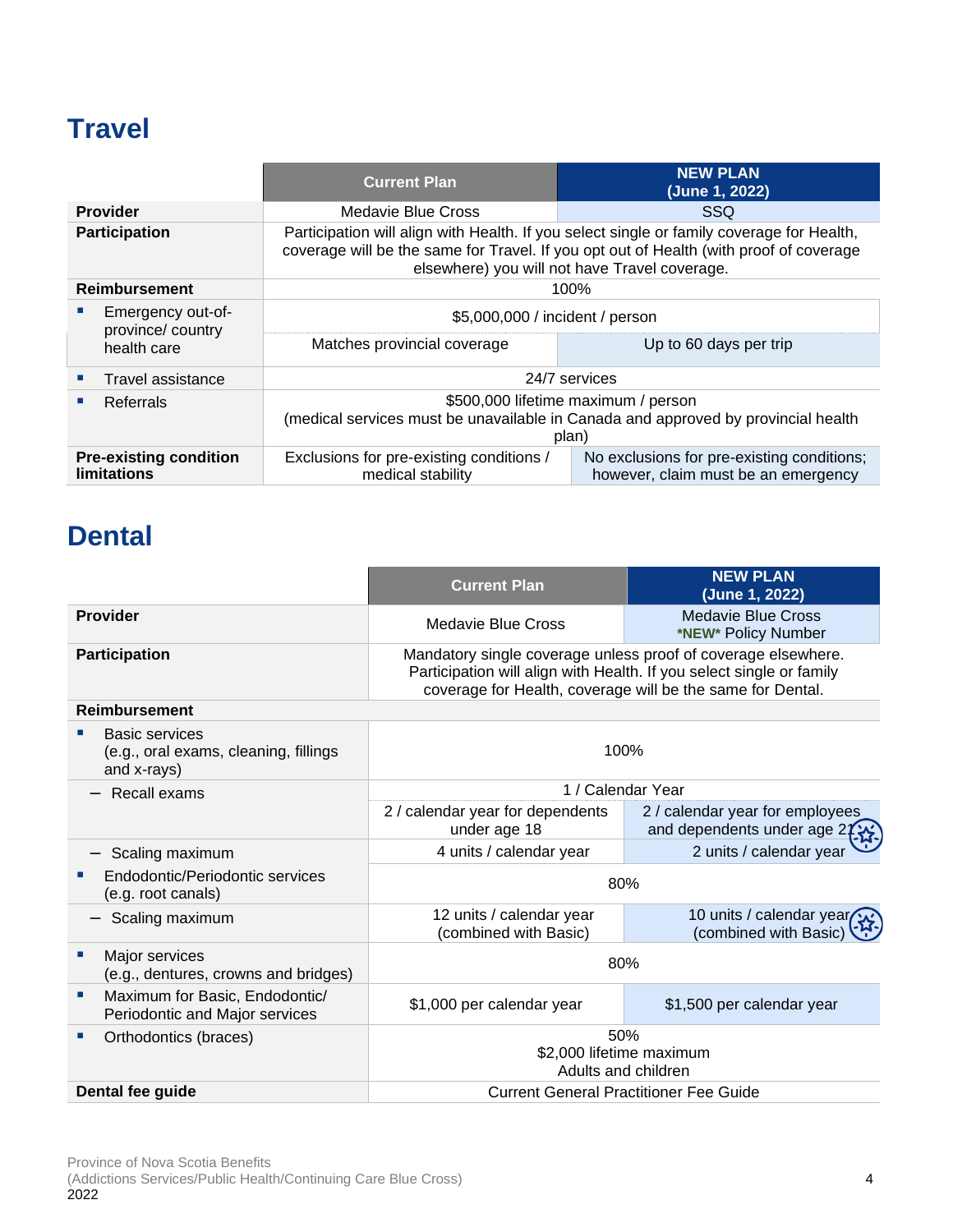# **Travel**

|                                                     |                                       | <b>Current Plan</b>                                                                                                                                                                                                                  | <b>NEW PLAN</b><br>(June 1, 2022)                                                 |
|-----------------------------------------------------|---------------------------------------|--------------------------------------------------------------------------------------------------------------------------------------------------------------------------------------------------------------------------------------|-----------------------------------------------------------------------------------|
|                                                     | <b>Provider</b>                       | Medavie Blue Cross                                                                                                                                                                                                                   | <b>SSQ</b>                                                                        |
| Participation                                       |                                       | Participation will align with Health. If you select single or family coverage for Health,<br>coverage will be the same for Travel. If you opt out of Health (with proof of coverage<br>elsewhere) you will not have Travel coverage. |                                                                                   |
| <b>Reimbursement</b>                                |                                       |                                                                                                                                                                                                                                      | 100%                                                                              |
|                                                     | Emergency out-of-<br>province/country | \$5,000,000 / incident / person                                                                                                                                                                                                      |                                                                                   |
|                                                     | health care                           | Matches provincial coverage                                                                                                                                                                                                          | Up to 60 days per trip                                                            |
|                                                     | Travel assistance                     |                                                                                                                                                                                                                                      | 24/7 services                                                                     |
|                                                     | Referrals                             | \$500,000 lifetime maximum / person<br>(medical services must be unavailable in Canada and approved by provincial health<br>plan)                                                                                                    |                                                                                   |
| <b>Pre-existing condition</b><br><b>limitations</b> |                                       | Exclusions for pre-existing conditions /<br>medical stability                                                                                                                                                                        | No exclusions for pre-existing conditions;<br>however, claim must be an emergency |

### **Dental**

|                                                                        | <b>Current Plan</b>                                    | <b>NEW PLAN</b><br>(June 1, 2022)                                                                                                                                                                   |
|------------------------------------------------------------------------|--------------------------------------------------------|-----------------------------------------------------------------------------------------------------------------------------------------------------------------------------------------------------|
| <b>Provider</b>                                                        | Medavie Blue Cross                                     | <b>Medavie Blue Cross</b><br>*NEW* Policy Number                                                                                                                                                    |
| <b>Participation</b>                                                   |                                                        | Mandatory single coverage unless proof of coverage elsewhere.<br>Participation will align with Health. If you select single or family<br>coverage for Health, coverage will be the same for Dental. |
| <b>Reimbursement</b>                                                   |                                                        |                                                                                                                                                                                                     |
| Basic services<br>(e.g., oral exams, cleaning, fillings<br>and x-rays) | 100%                                                   |                                                                                                                                                                                                     |
| Recall exams                                                           |                                                        | 1 / Calendar Year                                                                                                                                                                                   |
|                                                                        | 2 / calendar year for dependents<br>under age 18       | 2 / calendar year for employees<br>and dependents under age 213                                                                                                                                     |
| Scaling maximum                                                        | 4 units / calendar year                                | 2 units / calendar year                                                                                                                                                                             |
| Endodontic/Periodontic services<br>(e.g. root canals)                  | 80%                                                    |                                                                                                                                                                                                     |
| Scaling maximum                                                        | 12 units / calendar year<br>(combined with Basic)      | 10 units / calendar year<br>(combined with Basic)                                                                                                                                                   |
| Major services<br>(e.g., dentures, crowns and bridges)                 | 80%                                                    |                                                                                                                                                                                                     |
| Maximum for Basic, Endodontic/<br>Periodontic and Major services       | \$1,000 per calendar year                              | \$1,500 per calendar year                                                                                                                                                                           |
| Orthodontics (braces)                                                  | 50%<br>\$2,000 lifetime maximum<br>Adults and children |                                                                                                                                                                                                     |
| Dental fee guide                                                       | <b>Current General Practitioner Fee Guide</b>          |                                                                                                                                                                                                     |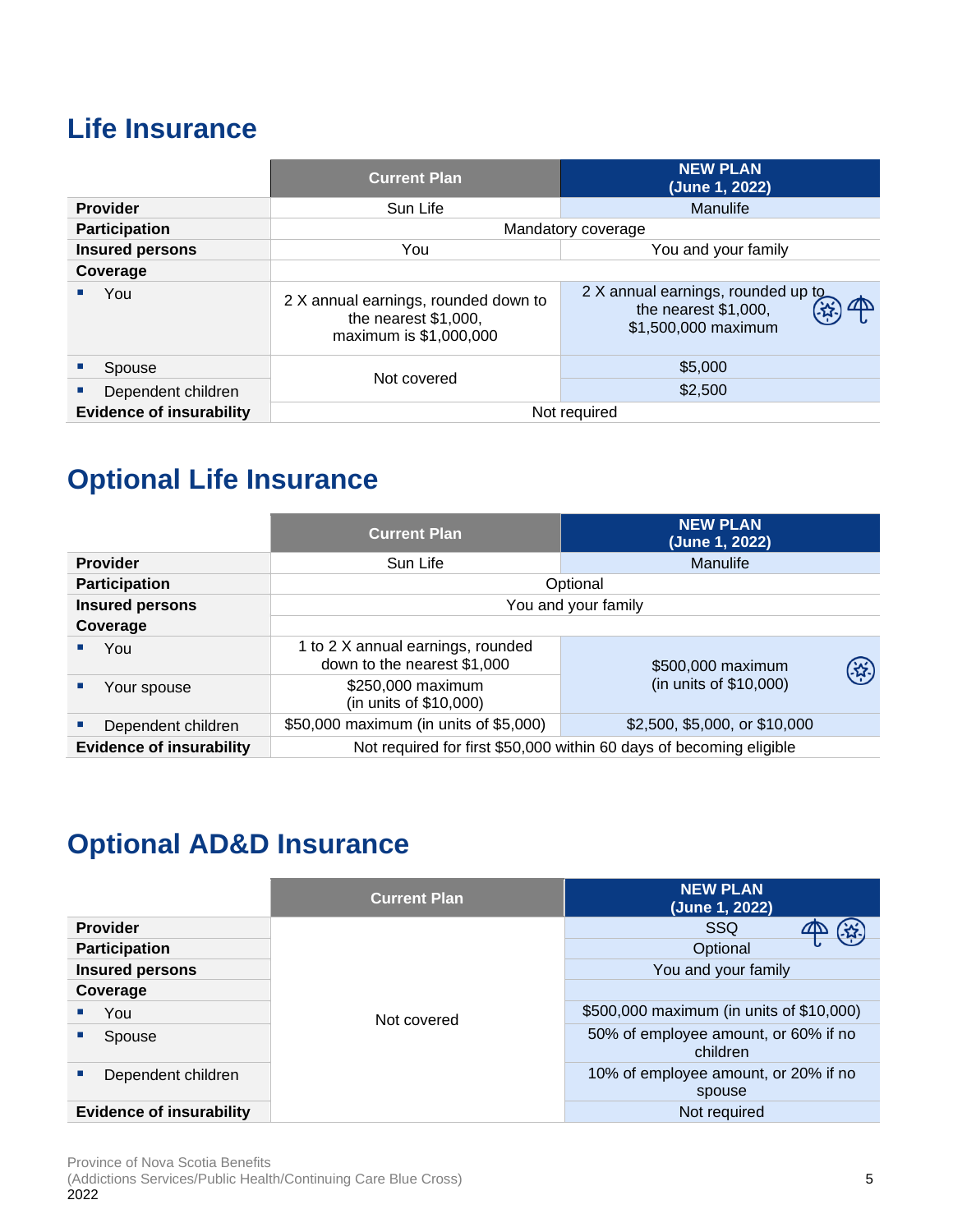### **Life Insurance**

|                                 | <b>NEW PLAN</b><br><b>Current Plan</b><br>(June 1, 2022)                               |                                                                                                   |
|---------------------------------|----------------------------------------------------------------------------------------|---------------------------------------------------------------------------------------------------|
| <b>Provider</b>                 | Sun Life                                                                               | Manulife                                                                                          |
| <b>Participation</b>            |                                                                                        | Mandatory coverage                                                                                |
| <b>Insured persons</b>          | You                                                                                    | You and your family                                                                               |
| Coverage                        |                                                                                        |                                                                                                   |
| You                             | 2 X annual earnings, rounded down to<br>the nearest \$1,000,<br>maximum is \$1,000,000 | 2 X annual earnings, rounded up to<br>$\mathbb{Z}$<br>the nearest \$1,000,<br>\$1,500,000 maximum |
| Spouse                          | Not covered                                                                            | \$5,000                                                                                           |
| Dependent children              |                                                                                        | \$2,500                                                                                           |
| <b>Evidence of insurability</b> |                                                                                        | Not required                                                                                      |

# **Optional Life Insurance**

|                                 | <b>Current Plan</b>                                                     | <b>NEW PLAN</b><br>(June 1, 2022)                                   |
|---------------------------------|-------------------------------------------------------------------------|---------------------------------------------------------------------|
| <b>Provider</b>                 | Sun Life                                                                | Manulife                                                            |
| <b>Participation</b>            |                                                                         | Optional                                                            |
| <b>Insured persons</b>          |                                                                         | You and your family                                                 |
| Coverage                        |                                                                         |                                                                     |
| You                             | 1 to 2 X annual earnings, rounded<br>down to the nearest \$1,000        | \$500,000 maximum<br>$\mathcal{X}$                                  |
| Your spouse                     | \$250,000 maximum<br>(in units of \$10,000)                             | (in units of $$10,000$ )                                            |
| Dependent children              | \$50,000 maximum (in units of \$5,000)<br>\$2,500, \$5,000, or \$10,000 |                                                                     |
| <b>Evidence of insurability</b> |                                                                         | Not required for first \$50,000 within 60 days of becoming eligible |

# **Optional AD&D Insurance**

|                                 | <b>Current Plan</b> | <b>NEW PLAN</b><br>(June 1, 2022)                |  |
|---------------------------------|---------------------|--------------------------------------------------|--|
| <b>Provider</b>                 |                     | <b>SSQ</b><br>ZШ                                 |  |
| <b>Participation</b>            |                     | Optional                                         |  |
| <b>Insured persons</b>          |                     | You and your family                              |  |
| Coverage                        |                     |                                                  |  |
| You                             | Not covered         | \$500,000 maximum (in units of \$10,000)         |  |
| Spouse                          |                     | 50% of employee amount, or 60% if no<br>children |  |
| Dependent children              |                     | 10% of employee amount, or 20% if no<br>spouse   |  |
| <b>Evidence of insurability</b> |                     | Not required                                     |  |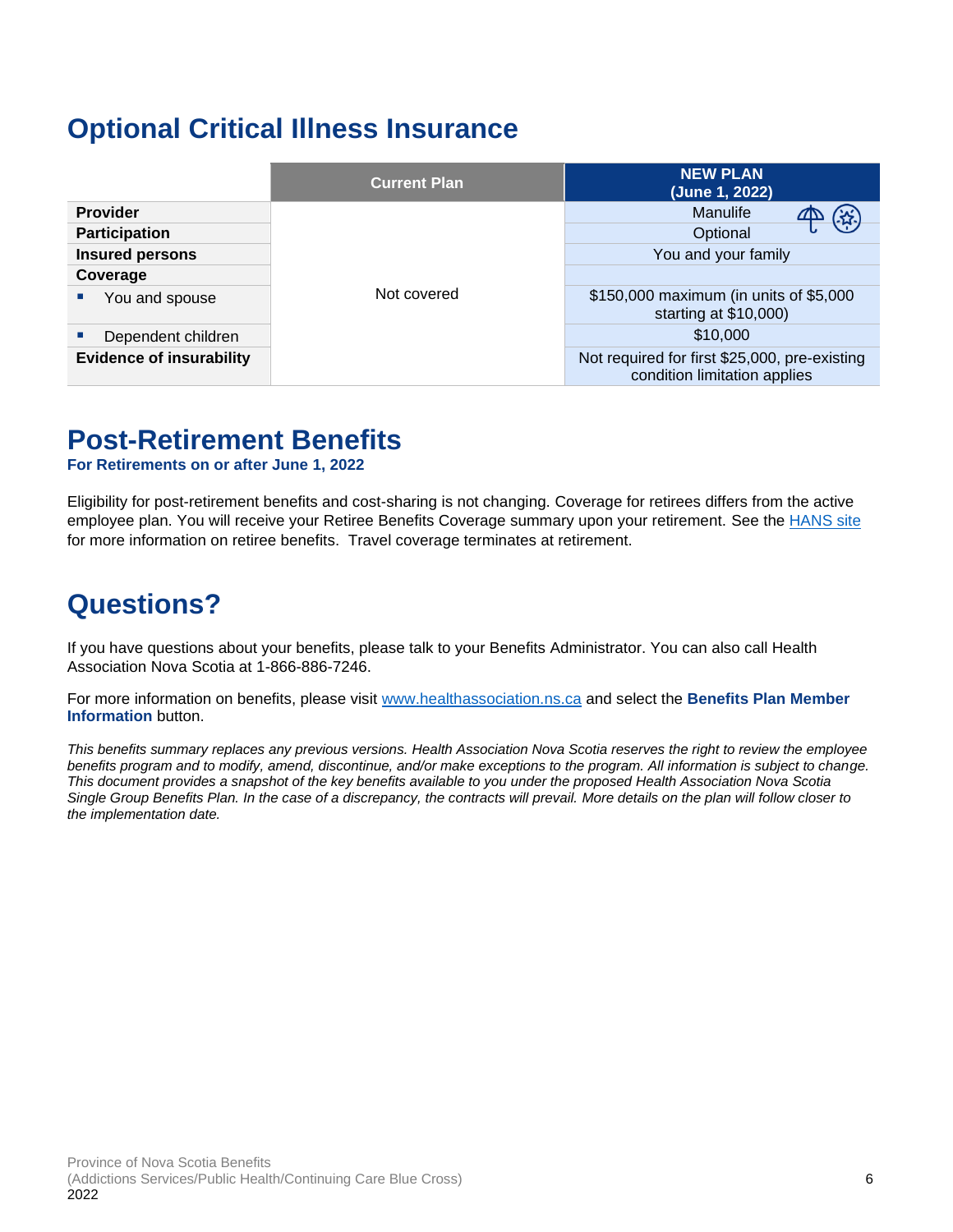### **Optional Critical Illness Insurance**

|                                 | <b>Current Plan</b> | <b>NEW PLAN</b><br>(June 1, 2022)                                             |  |
|---------------------------------|---------------------|-------------------------------------------------------------------------------|--|
| <b>Provider</b>                 |                     | Manulife                                                                      |  |
| <b>Participation</b>            |                     | Optional                                                                      |  |
| <b>Insured persons</b>          |                     | You and your family                                                           |  |
| Coverage                        |                     |                                                                               |  |
| You and spouse                  | Not covered         | \$150,000 maximum (in units of \$5,000<br>starting at \$10,000)               |  |
| Dependent children              |                     | \$10,000                                                                      |  |
| <b>Evidence of insurability</b> |                     | Not required for first \$25,000, pre-existing<br>condition limitation applies |  |

### **Post-Retirement Benefits**

#### **For Retirements on or after June 1, 2022**

Eligibility for post-retirement benefits and cost-sharing is not changing. Coverage for retirees differs from the active employee plan. You will receive your Retiree Benefits Coverage summary upon your retirement. See the HANS site for more information on retiree benefits. Travel coverage terminates at retirement.

### **Questions?**

If you have questions about your benefits, please talk to your Benefits Administrator. You can also call Health Association Nova Scotia at 1-866-886-7246.

For more information on benefits, please visit [www.healthassociation.ns.ca](http://www.healthassociation.ns.ca/) and select the **Benefits Plan Member Information** button.

*This benefits summary replaces any previous versions. Health Association Nova Scotia reserves the right to review the employee benefits program and to modify, amend, discontinue, and/or make exceptions to the program. All information is subject to change. This document provides a snapshot of the key benefits available to you under the proposed Health Association Nova Scotia Single Group Benefits Plan. In the case of a discrepancy, the contracts will prevail. More details on the plan will follow closer to the implementation date.*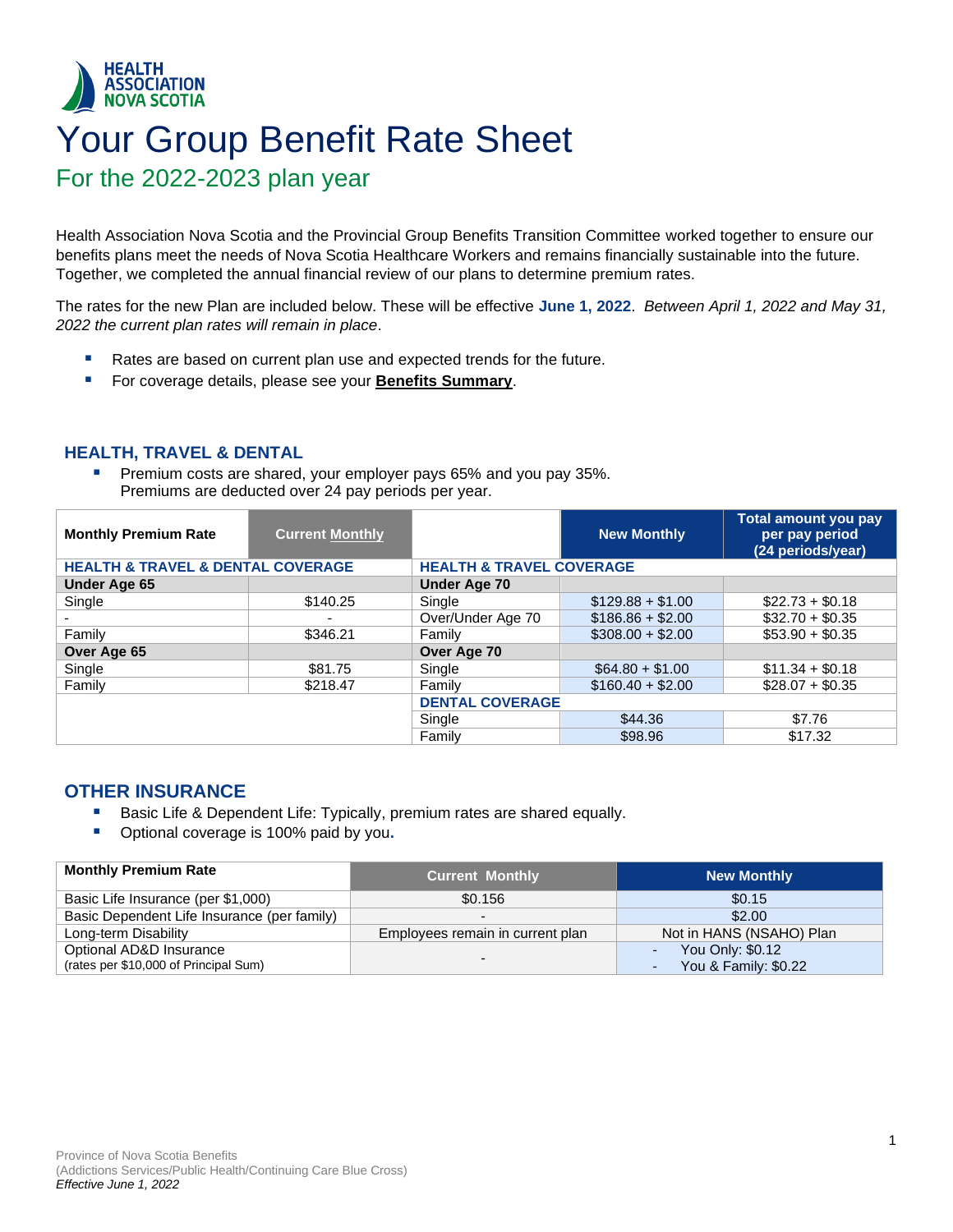# <span id="page-8-0"></span>**HEALTH ASSOCIATION<br>NOVA SCOTIA** Your Group Benefit Rate Sheet For the 2022-2023 plan year

Health Association Nova Scotia and the Provincial Group Benefits Transition Committee worked together to ensure our benefits plans meet the needs of Nova Scotia Healthcare Workers and remains financially sustainable into the future. Together, we completed the annual financial review of our plans to determine premium rates.

The rates for the new Plan are included below. These will be effective **June 1, 2022**. *Between April 1, 2022 and May 31, 2022 the current plan rates will remain in place*.

- Rates are based on current plan use and expected trends for the future.
- For coverage details, please see your **B[enefits Summary](#page-2-0)**.

#### **HEALTH, TRAVEL & DENTAL**

Premium costs are shared, your employer pays 65% and you pay 35%. Premiums are deducted over 24 pay periods per year.

| <b>Monthly Premium Rate</b>                      | <b>Current Monthly</b> |                                     | <b>New Monthly</b> | Total amount you pay<br>per pay period<br>(24 periods/year) |
|--------------------------------------------------|------------------------|-------------------------------------|--------------------|-------------------------------------------------------------|
| <b>HEALTH &amp; TRAVEL &amp; DENTAL COVERAGE</b> |                        | <b>HEALTH &amp; TRAVEL COVERAGE</b> |                    |                                                             |
| <b>Under Age 65</b>                              |                        | <b>Under Age 70</b>                 |                    |                                                             |
| Single                                           | \$140.25               | Single                              | $$129.88 + $1.00$  | $$22.73 + $0.18$                                            |
|                                                  | ۰                      | Over/Under Age 70                   | $$186.86 + $2.00$  | $$32.70 + $0.35$                                            |
| Family                                           | \$346.21               | Family                              | $$308.00 + $2.00$  | $$53.90 + $0.35$                                            |
| Over Age 65                                      |                        | Over Age 70                         |                    |                                                             |
| Single                                           | \$81.75                | Single                              | $$64.80 + $1.00$   | $$11.34 + $0.18$                                            |
| Family                                           | \$218.47               | Family                              | $$160.40 + $2.00$  | $$28.07 + $0.35$                                            |
|                                                  |                        | <b>DENTAL COVERAGE</b>              |                    |                                                             |
|                                                  |                        | Single                              | \$44.36            | \$7.76                                                      |
|                                                  |                        | Family                              | \$98.96            | \$17.32                                                     |

#### **OTHER INSURANCE**

- Basic Life & Dependent Life: Typically, premium rates are shared equally.
- Optional coverage is 100% paid by you.

| <b>Monthly Premium Rate</b>                 | <b>Current Monthly</b>           | <b>New Monthly</b>       |  |
|---------------------------------------------|----------------------------------|--------------------------|--|
| Basic Life Insurance (per \$1,000)          | \$0.156                          | \$0.15                   |  |
| Basic Dependent Life Insurance (per family) | $\overline{\phantom{a}}$         | \$2.00                   |  |
| Long-term Disability                        | Employees remain in current plan | Not in HANS (NSAHO) Plan |  |
| Optional AD&D Insurance                     |                                  | You Only: \$0.12         |  |
| (rates per \$10,000 of Principal Sum)       | $\overline{\phantom{0}}$         | You & Family: \$0.22     |  |